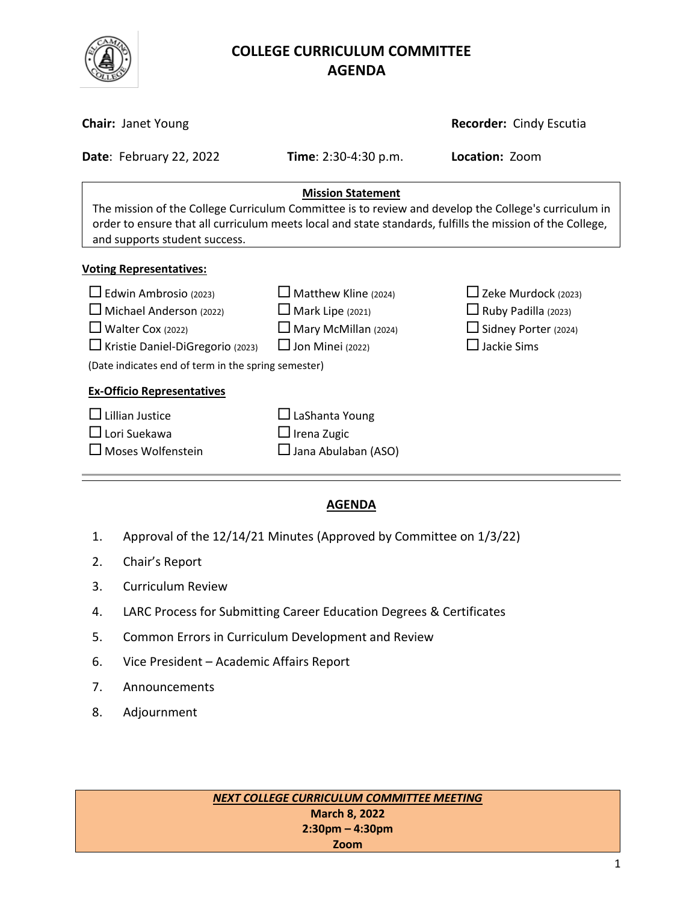

# **COLLEGE CURRICULUM COMMITTEE** **AGENDA**

| <b>Chair: Janet Young</b>                                                                                                                                                                                                                                                      |                                                                                                                  | <b>Recorder: Cindy Escutia</b>                                                                         |  |  |
|--------------------------------------------------------------------------------------------------------------------------------------------------------------------------------------------------------------------------------------------------------------------------------|------------------------------------------------------------------------------------------------------------------|--------------------------------------------------------------------------------------------------------|--|--|
| Date: February 22, 2022                                                                                                                                                                                                                                                        | <b>Time</b> : $2:30-4:30$ p.m.                                                                                   | Location: Zoom                                                                                         |  |  |
| <b>Mission Statement</b><br>The mission of the College Curriculum Committee is to review and develop the College's curriculum in<br>order to ensure that all curriculum meets local and state standards, fulfills the mission of the College,<br>and supports student success. |                                                                                                                  |                                                                                                        |  |  |
| <b>Voting Representatives:</b>                                                                                                                                                                                                                                                 |                                                                                                                  |                                                                                                        |  |  |
| $\Box$ Edwin Ambrosio (2023)<br>Michael Anderson (2022)<br>$\Box$ Walter Cox (2022)<br>□ Kristie Daniel-DiGregorio (2023)<br>(Date indicates end of term in the spring semester)                                                                                               | $\Box$ Matthew Kline (2024)<br>$\Box$ Mark Lipe (2021)<br>$\Box$ Mary McMillan (2024)<br>$\Box$ Jon Minei (2022) | $\Box$ Zeke Murdock (2023)<br>$\Box$ Ruby Padilla (2023)<br>Sidney Porter (2024)<br>$\Box$ Jackie Sims |  |  |
| <b>Ex-Officio Representatives</b>                                                                                                                                                                                                                                              |                                                                                                                  |                                                                                                        |  |  |
| Lillian Justice<br>$\Box$ Lori Suekawa<br>Moses Wolfenstein                                                                                                                                                                                                                    | $\Box$ LaShanta Young<br>$\Box$ Irena Zugic<br>□ Jana Abulaban (ASO)                                             |                                                                                                        |  |  |

## **AGENDA**

- 1. Approval of the 12/14/21 Minutes (Approved by Committee on 1/3/22)
- 2. Chair's Report
- 3. Curriculum Review
- 4. LARC Process for Submitting Career Education Degrees & Certificates
- 5. Common Errors in Curriculum Development and Review
- 6. Vice President Academic Affairs Report
- 7. Announcements
- 8. Adjournment